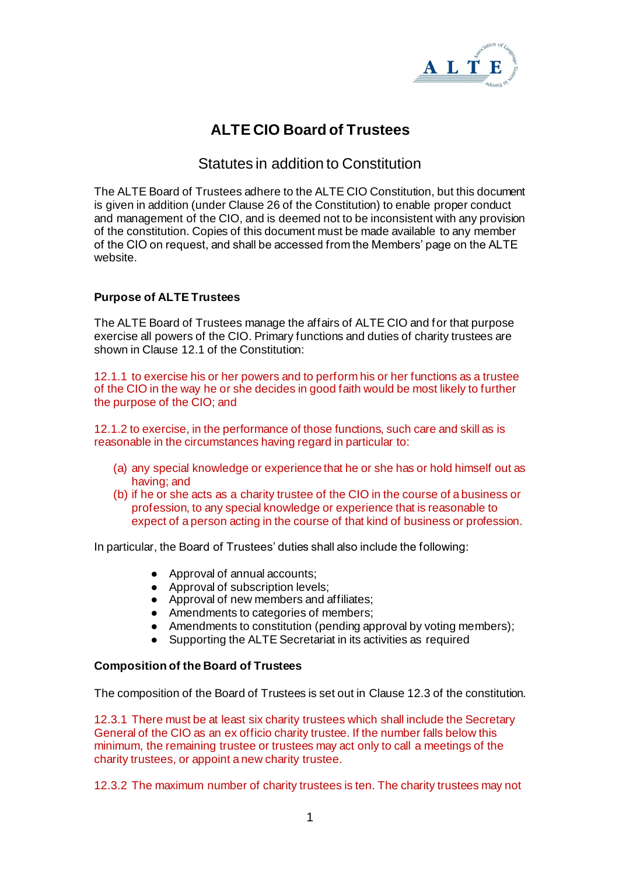

# **ALTE CIO Board of Trustees**

# Statutes in addition to Constitution

The ALTE Board of Trustees adhere to the ALTE CIO Constitution, but this document is given in addition (under Clause 26 of the Constitution) to enable proper conduct and management of the CIO, and is deemed not to be inconsistent with any provision of the constitution. Copies of this document must be made available to any member of the CIO on request, and shall be accessed from the Members' page on the ALTE website.

## **Purpose of ALTE Trustees**

The ALTE Board of Trustees manage the affairs of ALTE CIO and for that purpose exercise all powers of the CIO. Primary functions and duties of charity trustees are shown in Clause 12.1 of the Constitution:

12.1.1 to exercise his or her powers and to perform his or her functions as a trustee of the CIO in the way he or she decides in good faith would be most likely to further the purpose of the CIO; and

12.1.2 to exercise, in the performance of those functions, such care and skill as is reasonable in the circumstances having regard in particular to:

- (a) any special knowledge or experience that he or she has or hold himself out as having; and
- (b) if he or she acts as a charity trustee of the CIO in the course of a business or profession, to any special knowledge or experience that is reasonable to expect of a person acting in the course of that kind of business or profession.

In particular, the Board of Trustees' duties shall also include the following:

- Approval of annual accounts;
- Approval of subscription levels:
- Approval of new members and affiliates;
- Amendments to categories of members;
- Amendments to constitution (pending approval by voting members);
- Supporting the ALTE Secretariat in its activities as required

#### **Composition of the Board of Trustees**

The composition of the Board of Trustees is set out in Clause 12.3 of the constitution.

12.3.1 There must be at least six charity trustees which shall include the Secretary General of the CIO as an ex officio charity trustee. If the number falls below this minimum, the remaining trustee or trustees may act only to call a meetings of the charity trustees, or appoint a new charity trustee.

12.3.2 The maximum number of charity trustees is ten. The charity trustees may not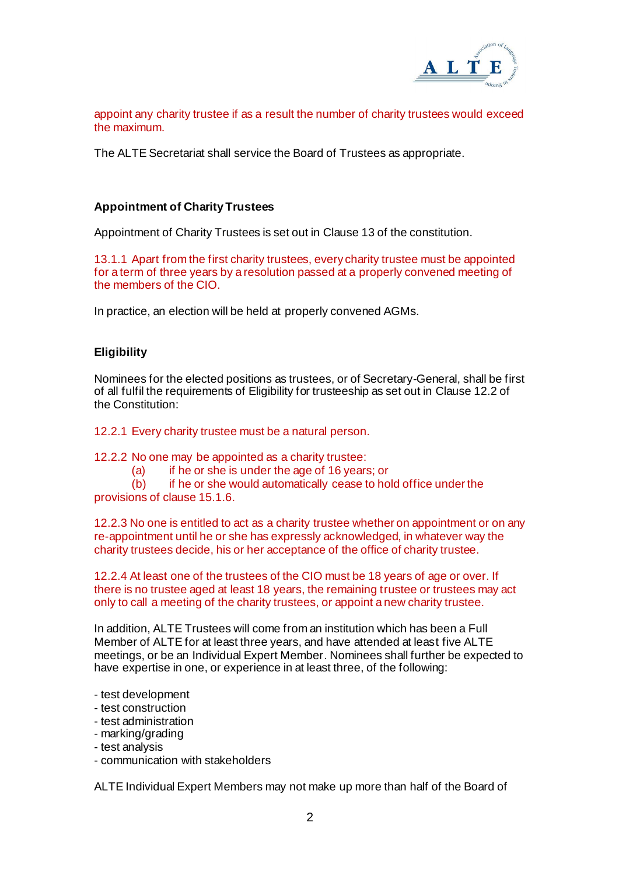

appoint any charity trustee if as a result the number of charity trustees would exceed the maximum.

The ALTE Secretariat shall service the Board of Trustees as appropriate.

#### **Appointment of Charity Trustees**

Appointment of Charity Trustees is set out in Clause 13 of the constitution.

13.1.1 Apart from the first charity trustees, every charity trustee must be appointed for a term of three years by a resolution passed at a properly convened meeting of the members of the CIO.

In practice, an election will be held at properly convened AGMs.

#### **Eligibility**

Nominees for the elected positions as trustees, or of Secretary-General, shall be first of all fulfil the requirements of Eligibility for trusteeship as set out in Clause 12.2 of the Constitution:

12.2.1 Every charity trustee must be a natural person.

12.2.2 No one may be appointed as a charity trustee:

(a) if he or she is under the age of 16 years; or

 $(b)$  if he or she would automatically cease to hold office under the provisions of clause 15.1.6.

12.2.3 No one is entitled to act as a charity trustee whether on appointment or on any re-appointment until he or she has expressly acknowledged, in whatever way the charity trustees decide, his or her acceptance of the office of charity trustee.

12.2.4 At least one of the trustees of the CIO must be 18 years of age or over. If there is no trustee aged at least 18 years, the remaining trustee or trustees may act only to call a meeting of the charity trustees, or appoint a new charity trustee.

In addition, ALTE Trustees will come from an institution which has been a Full Member of ALTE for at least three years, and have attended at least five ALTE meetings, or be an Individual Expert Member. Nominees shall further be expected to have expertise in one, or experience in at least three, of the following:

- test development
- test construction
- test administration
- marking/grading
- test analysis
- communication with stakeholders

ALTE Individual Expert Members may not make up more than half of the Board of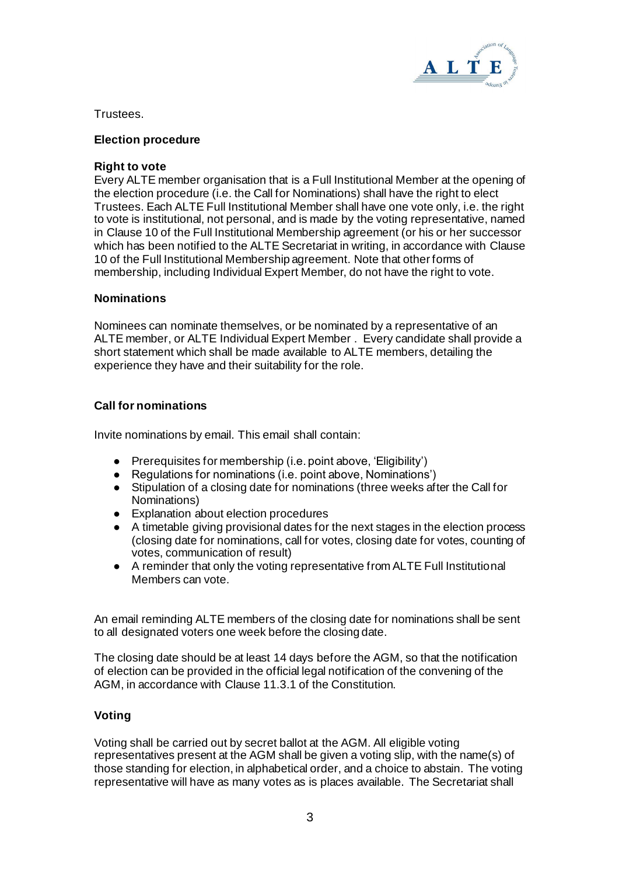

Trustees.

#### **Election procedure**

#### **Right to vote**

Every ALTE member organisation that is a Full Institutional Member at the opening of the election procedure (i.e. the Call for Nominations) shall have the right to elect Trustees. Each ALTE Full Institutional Member shall have one vote only, i.e. the right to vote is institutional, not personal, and is made by the voting representative, named in Clause 10 of the Full Institutional Membership agreement (or his or her successor which has been notified to the ALTE Secretariat in writing, in accordance with Clause 10 of the Full Institutional Membership agreement. Note that other forms of membership, including Individual Expert Member, do not have the right to vote.

#### **Nominations**

Nominees can nominate themselves, or be nominated by a representative of an ALTE member, or ALTE Individual Expert Member . Every candidate shall provide a short statement which shall be made available to ALTE members, detailing the experience they have and their suitability for the role.

#### **Call for nominations**

Invite nominations by email. This email shall contain:

- Prerequisites for membership (i.e. point above, 'Eligibility')
- Regulations for nominations (i.e. point above, Nominations')
- Stipulation of a closing date for nominations (three weeks after the Call for Nominations)
- Explanation about election procedures
- A timetable giving provisional dates for the next stages in the election process (closing date for nominations, call for votes, closing date for votes, counting of votes, communication of result)
- A reminder that only the voting representative from ALTE Full Institutional Members can vote.

An email reminding ALTE members of the closing date for nominations shall be sent to all designated voters one week before the closing date.

The closing date should be at least 14 days before the AGM, so that the notification of election can be provided in the official legal notification of the convening of the AGM, in accordance with Clause 11.3.1 of the Constitution.

#### **Voting**

Voting shall be carried out by secret ballot at the AGM. All eligible voting representatives present at the AGM shall be given a voting slip, with the name(s) of those standing for election, in alphabetical order, and a choice to abstain. The voting representative will have as many votes as is places available. The Secretariat shall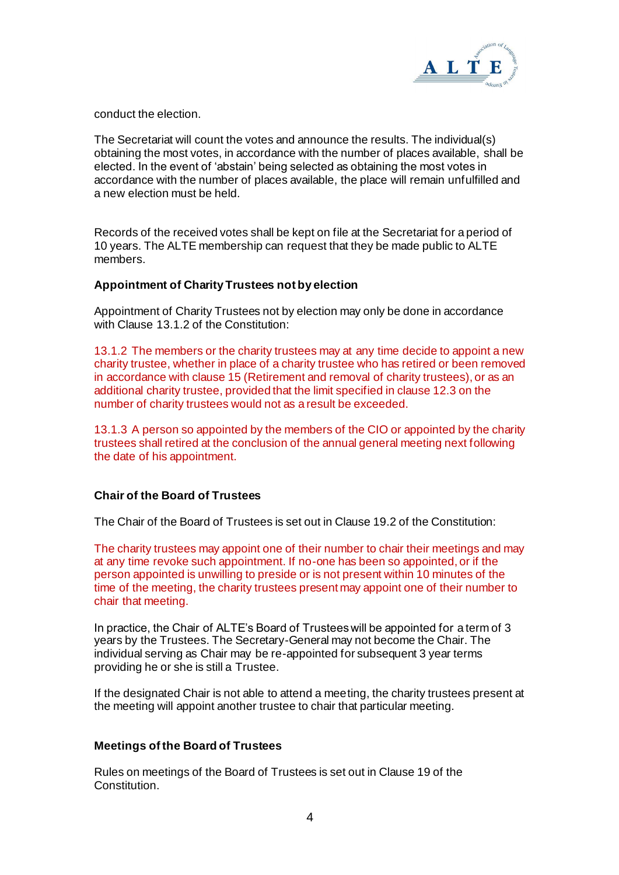

conduct the election.

The Secretariat will count the votes and announce the results. The individual(s) obtaining the most votes, in accordance with the number of places available, shall be elected. In the event of 'abstain' being selected as obtaining the most votes in accordance with the number of places available, the place will remain unfulfilled and a new election must be held.

Records of the received votes shall be kept on file at the Secretariat for a period of 10 years. The ALTE membership can request that they be made public to ALTE members.

#### **Appointment of Charity Trustees not by election**

Appointment of Charity Trustees not by election may only be done in accordance with Clause 13.1.2 of the Constitution:

13.1.2 The members or the charity trustees may at any time decide to appoint a new charity trustee, whether in place of a charity trustee who has retired or been removed in accordance with clause 15 (Retirement and removal of charity trustees), or as an additional charity trustee, provided that the limit specified in clause 12.3 on the number of charity trustees would not as a result be exceeded.

13.1.3 A person so appointed by the members of the CIO or appointed by the charity trustees shall retired at the conclusion of the annual general meeting next following the date of his appointment.

#### **Chair of the Board of Trustees**

The Chair of the Board of Trustees is set out in Clause 19.2 of the Constitution:

The charity trustees may appoint one of their number to chair their meetings and may at any time revoke such appointment. If no-one has been so appointed, or if the person appointed is unwilling to preside or is not present within 10 minutes of the time of the meeting, the charity trustees present may appoint one of their number to chair that meeting.

In practice, the Chair of ALTE's Board of Trustees will be appointed for a term of 3 years by the Trustees. The Secretary-General may not become the Chair. The individual serving as Chair may be re-appointed for subsequent 3 year terms providing he or she is still a Trustee.

If the designated Chair is not able to attend a meeting, the charity trustees present at the meeting will appoint another trustee to chair that particular meeting.

#### **Meetings of the Board of Trustees**

Rules on meetings of the Board of Trustees is set out in Clause 19 of the Constitution.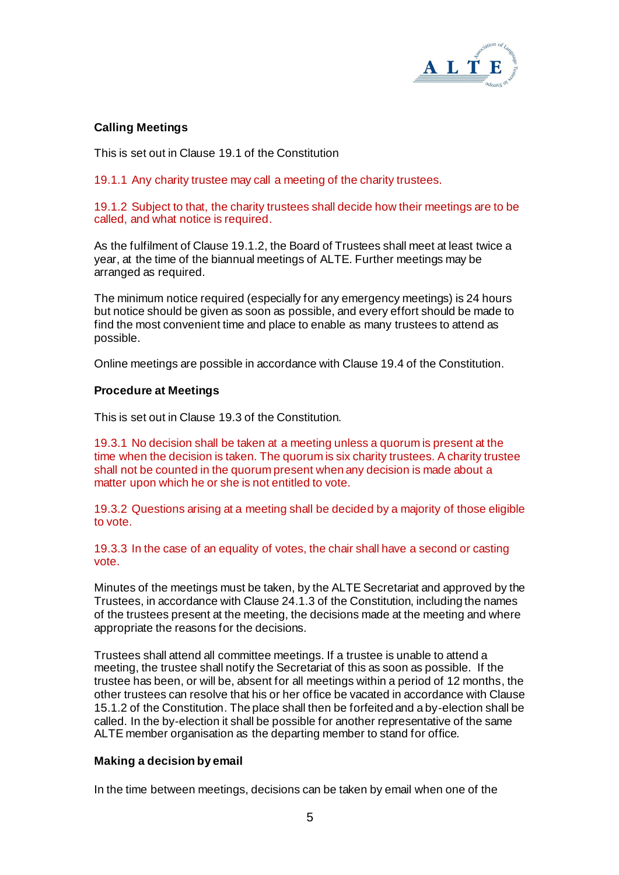

## **Calling Meetings**

This is set out in Clause 19.1 of the Constitution

19.1.1 Any charity trustee may call a meeting of the charity trustees.

19.1.2 Subject to that, the charity trustees shall decide how their meetings are to be called, and what notice is required.

As the fulfilment of Clause 19.1.2, the Board of Trustees shall meet at least twice a year, at the time of the biannual meetings of ALTE. Further meetings may be arranged as required.

The minimum notice required (especially for any emergency meetings) is 24 hours but notice should be given as soon as possible, and every effort should be made to find the most convenient time and place to enable as many trustees to attend as possible.

Online meetings are possible in accordance with Clause 19.4 of the Constitution.

#### **Procedure at Meetings**

This is set out in Clause 19.3 of the Constitution.

19.3.1 No decision shall be taken at a meeting unless a quorum is present at the time when the decision is taken. The quorum is six charity trustees. A charity trustee shall not be counted in the quorum present when any decision is made about a matter upon which he or she is not entitled to vote.

19.3.2 Questions arising at a meeting shall be decided by a majority of those eligible to vote.

19.3.3 In the case of an equality of votes, the chair shall have a second or casting vote.

Minutes of the meetings must be taken, by the ALTE Secretariat and approved by the Trustees, in accordance with Clause 24.1.3 of the Constitution, including the names of the trustees present at the meeting, the decisions made at the meeting and where appropriate the reasons for the decisions.

Trustees shall attend all committee meetings. If a trustee is unable to attend a meeting, the trustee shall notify the Secretariat of this as soon as possible. If the trustee has been, or will be, absent for all meetings within a period of 12 months, the other trustees can resolve that his or her office be vacated in accordance with Clause 15.1.2 of the Constitution. The place shall then be forfeited and a by-election shall be called. In the by-election it shall be possible for another representative of the same ALTE member organisation as the departing member to stand for office.

#### **Making a decision by email**

In the time between meetings, decisions can be taken by email when one of the